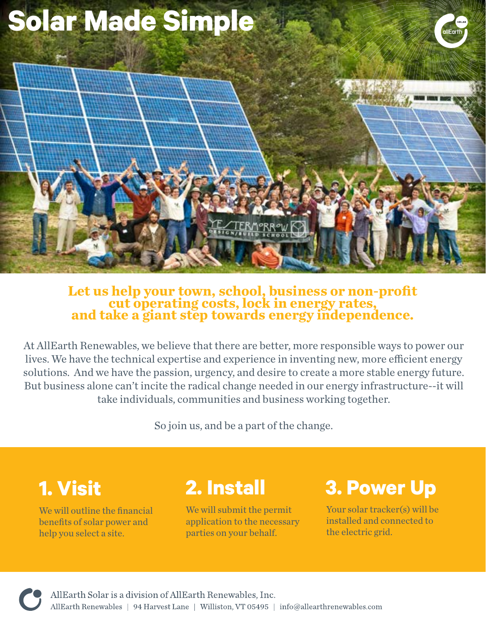

# **Let us help your town, school, business or non-profit cut operating costs, lock in energy rates, and take a giant step towards energy independence.**

At AllEarth Renewables, we believe that there are better, more responsible ways to power our lives. We have the technical expertise and experience in inventing new, more efficient energy solutions. And we have the passion, urgency, and desire to create a more stable energy future. But business alone can't incite the radical change needed in our energy infrastructure--it will take individuals, communities and business working together.

So join us, and be a part of the change.

## **1. Visit**

We will outline the financial benefits of solar power and help you select a site.

## **2. Install**

We will submit the permit application to the necessary parties on your behalf.

### **3. Power Up**

Your solar tracker(s) will be installed and connected to the electric grid.